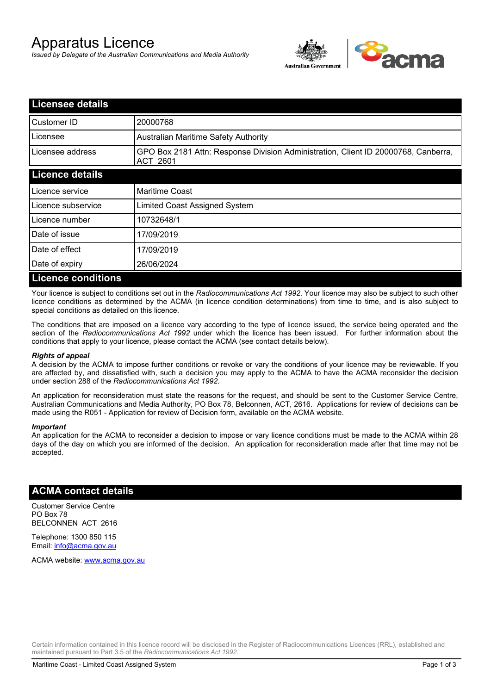# Apparatus Licence

*Issued by Delegate of the Australian Communications and Media Authority*



| <b>Licensee details</b>   |                                                                                                       |
|---------------------------|-------------------------------------------------------------------------------------------------------|
| Customer ID               | 20000768                                                                                              |
| Licensee                  | <b>Australian Maritime Safety Authority</b>                                                           |
| Licensee address          | GPO Box 2181 Attn: Response Division Administration, Client ID 20000768, Canberra,<br><b>ACT 2601</b> |
| <b>Licence details</b>    |                                                                                                       |
| Licence service           | <b>Maritime Coast</b>                                                                                 |
| Licence subservice        | Limited Coast Assigned System                                                                         |
| Licence number            | 10732648/1                                                                                            |
| Date of issue             | 17/09/2019                                                                                            |
| Date of effect            | 17/09/2019                                                                                            |
| Date of expiry            | 26/06/2024                                                                                            |
| <b>Licence conditions</b> |                                                                                                       |

Your licence is subject to conditions set out in the *Radiocommunications Act 1992*. Your licence may also be subject to such other licence conditions as determined by the ACMA (in licence condition determinations) from time to time, and is also subject to special conditions as detailed on this licence.

The conditions that are imposed on a licence vary according to the type of licence issued, the service being operated and the section of the *Radiocommunications Act 1992* under which the licence has been issued. For further information about the conditions that apply to your licence, please contact the ACMA (see contact details below).

### *Rights of appeal*

A decision by the ACMA to impose further conditions or revoke or vary the conditions of your licence may be reviewable. If you are affected by, and dissatisfied with, such a decision you may apply to the ACMA to have the ACMA reconsider the decision under section 288 of the *Radiocommunications Act 1992*.

An application for reconsideration must state the reasons for the request, and should be sent to the Customer Service Centre, Australian Communications and Media Authority, PO Box 78, Belconnen, ACT, 2616. Applications for review of decisions can be made using the R051 - Application for review of Decision form, available on the ACMA website.

#### *Important*

An application for the ACMA to reconsider a decision to impose or vary licence conditions must be made to the ACMA within 28 days of the day on which you are informed of the decision. An application for reconsideration made after that time may not be accepted.

### **ACMA contact details**

Customer Service Centre PO Box 78 BELCONNEN ACT 2616

Telephone: 1300 850 115 Email: info@acma.gov.au

ACMA website: www.acma.gov.au

Certain information contained in this licence record will be disclosed in the Register of Radiocommunications Licences (RRL), established and maintained pursuant to Part 3.5 of the *Radiocommunications Act 1992.*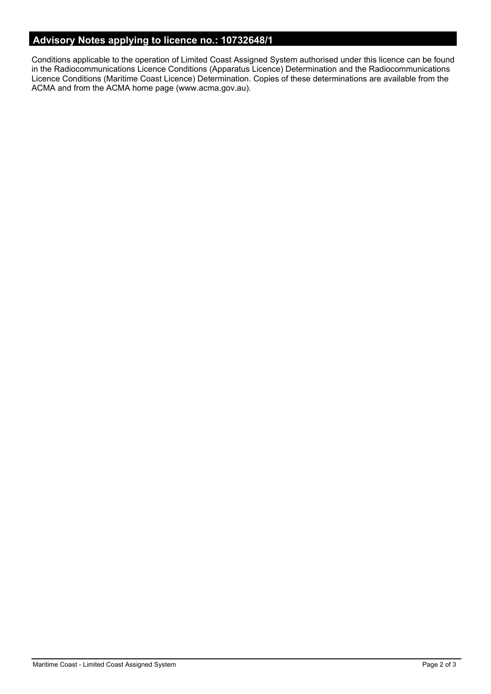# **Advisory Notes applying to licence no.: 10732648/1**

Conditions applicable to the operation of Limited Coast Assigned System authorised under this licence can be found in the Radiocommunications Licence Conditions (Apparatus Licence) Determination and the Radiocommunications Licence Conditions (Maritime Coast Licence) Determination. Copies of these determinations are available from the ACMA and from the ACMA home page (www.acma.gov.au).